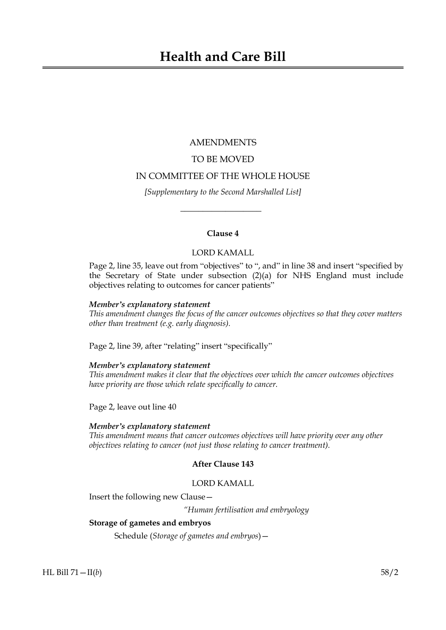# AMENDMENTS

# TO BE MOVED

# IN COMMITTEE OF THE WHOLE HOUSE

*[Supplementary to the Second Marshalled List]*

 $\overline{\phantom{a}}$  , where  $\overline{\phantom{a}}$ 

# **Clause 4**

# LORD KAMALL

Page 2, line 35, leave out from "objectives" to ", and" in line 38 and insert "specified by the Secretary of State under subsection (2)(a) for NHS England must include objectives relating to outcomes for cancer patients"

## *Member's explanatory statement*

*This amendment changes the focus of the cancer outcomes objectives so that they cover matters other than treatment (e.g. early diagnosis).*

Page 2, line 39, after "relating" insert "specifically"

#### *Member's explanatory statement*

*This amendment makes it clear that the objectives over which the cancer outcomes objectives have priority are those which relate specifically to cancer.*

Page 2, leave out line 40

#### *Member's explanatory statement*

*This amendment means that cancer outcomes objectives will have priority over any other objectives relating to cancer (not just those relating to cancer treatment).*

# **After Clause 143**

## LORD KAMALL

Insert the following new Clause—

*"Human fertilisation and embryology*

## **Storage of gametes and embryos**

Schedule (*Storage of gametes and embryos*)—

HL Bill 71—II(*b*) 58/2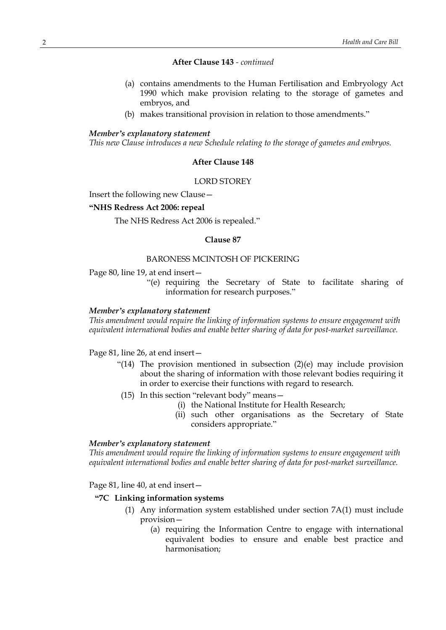## **After Clause 143** *- continued*

- (a) contains amendments to the Human Fertilisation and Embryology Act 1990 which make provision relating to the storage of gametes and embryos, and
- (b) makes transitional provision in relation to those amendments."

#### *Member's explanatory statement*

*This new Clause introduces a new Schedule relating to the storage of gametes and embryos.*

## **After Clause 148**

#### LORD STOREY

Insert the following new Clause—

## **"NHS Redress Act 2006: repeal**

The NHS Redress Act 2006 is repealed."

#### **Clause 87**

#### BARONESS MCINTOSH OF PICKERING

Page 80, line 19, at end insert—

"(e) requiring the Secretary of State to facilitate sharing of information for research purposes."

#### *Member's explanatory statement*

*This amendment would require the linking of information systems to ensure engagement with equivalent international bodies and enable better sharing of data for post-market surveillance.*

## Page 81, line 26, at end insert—

- "(14) The provision mentioned in subsection (2)(e) may include provision about the sharing of information with those relevant bodies requiring it in order to exercise their functions with regard to research.
- (15) In this section "relevant body" means—
	- (i) the National Institute for Health Research;
	- (ii) such other organisations as the Secretary of State considers appropriate."

#### *Member's explanatory statement*

*This amendment would require the linking of information systems to ensure engagement with equivalent international bodies and enable better sharing of data for post-market surveillance.*

#### Page 81, line 40, at end insert—

#### **"7C Linking information systems**

- (1) Any information system established under section 7A(1) must include provision—
	- (a) requiring the Information Centre to engage with international equivalent bodies to ensure and enable best practice and harmonisation;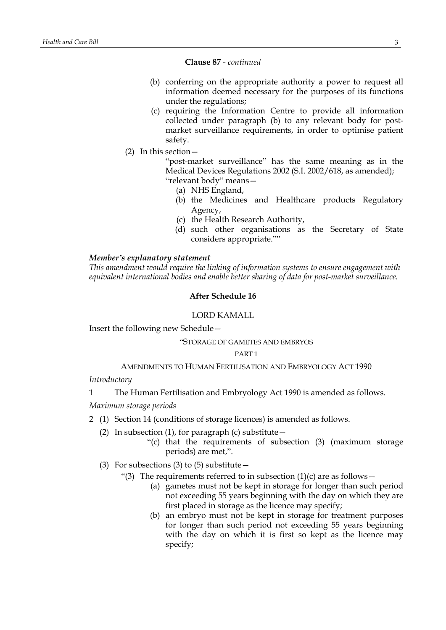#### **Clause 87** *- continued*

- (b) conferring on the appropriate authority a power to request all information deemed necessary for the purposes of its functions under the regulations;
- (c) requiring the Information Centre to provide all information collected under paragraph (b) to any relevant body for postmarket surveillance requirements, in order to optimise patient safety.
- (2) In this section—

"post-market surveillance" has the same meaning as in the Medical Devices Regulations 2002 (S.I. 2002/618, as amended); "relevant body" means—

- (a) NHS England,
- (b) the Medicines and Healthcare products Regulatory Agency,
- (c) the Health Research Authority,
- (d) such other organisations as the Secretary of State considers appropriate.""

#### *Member's explanatory statement*

*This amendment would require the linking of information systems to ensure engagement with equivalent international bodies and enable better sharing of data for post-market surveillance.*

#### **After Schedule 16**

#### LORD KAMALL

Insert the following new Schedule—

#### "STORAGE OF GAMETES AND EMBRYOS

#### PART 1

## AMENDMENTS TO HUMAN FERTILISATION AND EMBRYOLOGY ACT 1990

*Introductory*

- 1 The Human Fertilisation and Embryology Act 1990 is amended as follows.
- *Maximum storage periods*
- 2 (1) Section 14 (conditions of storage licences) is amended as follows.
	- (2) In subsection (1), for paragraph (c) substitute  $-$ 
		- "(c) that the requirements of subsection (3) (maximum storage periods) are met,".
	- (3) For subsections (3) to (5) substitute  $-$ 
		- "(3) The requirements referred to in subsection  $(1)(c)$  are as follows
			- (a) gametes must not be kept in storage for longer than such period not exceeding 55 years beginning with the day on which they are first placed in storage as the licence may specify;
			- (b) an embryo must not be kept in storage for treatment purposes for longer than such period not exceeding 55 years beginning with the day on which it is first so kept as the licence may specify;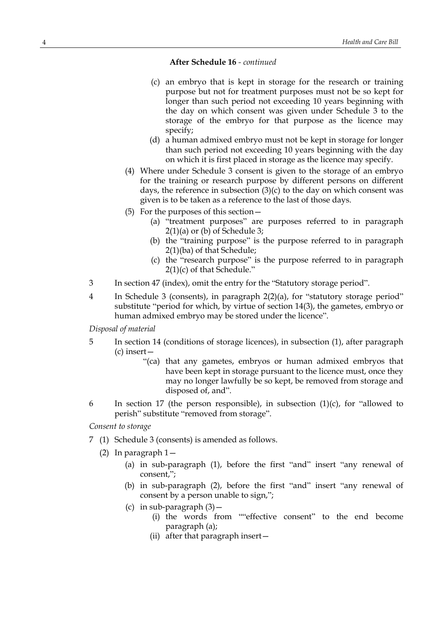- (c) an embryo that is kept in storage for the research or training purpose but not for treatment purposes must not be so kept for longer than such period not exceeding 10 years beginning with the day on which consent was given under Schedule 3 to the storage of the embryo for that purpose as the licence may specify;
- (d) a human admixed embryo must not be kept in storage for longer than such period not exceeding 10 years beginning with the day on which it is first placed in storage as the licence may specify.
- (4) Where under Schedule 3 consent is given to the storage of an embryo for the training or research purpose by different persons on different days, the reference in subsection (3)(c) to the day on which consent was given is to be taken as a reference to the last of those days.
- (5) For the purposes of this section—
	- (a) "treatment purposes" are purposes referred to in paragraph  $2(1)(a)$  or (b) of Schedule 3;
	- (b) the "training purpose" is the purpose referred to in paragraph 2(1)(ba) of that Schedule;
	- (c) the "research purpose" is the purpose referred to in paragraph 2(1)(c) of that Schedule."
- 3 In section 47 (index), omit the entry for the "Statutory storage period".
- 4 In Schedule 3 (consents), in paragraph 2(2)(a), for "statutory storage period" substitute "period for which, by virtue of section 14(3), the gametes, embryo or human admixed embryo may be stored under the licence".

*Disposal of material*

- 5 In section 14 (conditions of storage licences), in subsection (1), after paragraph (c) insert—
	- "(ca) that any gametes, embryos or human admixed embryos that have been kept in storage pursuant to the licence must, once they may no longer lawfully be so kept, be removed from storage and disposed of, and".
- 6 In section 17 (the person responsible), in subsection  $(1)(c)$ , for "allowed to perish" substitute "removed from storage".

*Consent to storage*

- 7 (1) Schedule 3 (consents) is amended as follows.
	- (2) In paragraph 1—
		- (a) in sub-paragraph (1), before the first "and" insert "any renewal of consent,";
		- (b) in sub-paragraph (2), before the first "and" insert "any renewal of consent by a person unable to sign,";
		- (c) in sub-paragraph  $(3)$  -
			- (i) the words from ""effective consent" to the end become paragraph (a);
			- (ii) after that paragraph insert—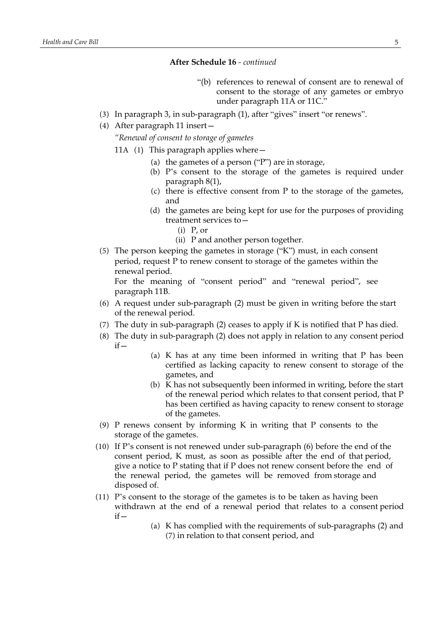- "(b) references to renewal of consent are to renewal of consent to the storage of any gametes or embryo under paragraph 11A or 11C."
- (3) In paragraph 3, in sub-paragraph (1), after "gives" insert "or renews".
- (4) After paragraph 11 insert—

*"Renewal of consent to storage of gametes*

- 11A (1) This paragraph applies where—
	- (a) the gametes of a person ("P") are in storage,
	- (b) P's consent to the storage of the gametes is required under paragraph 8(1),
	- (c) there is effective consent from P to the storage of the gametes, and
	- (d) the gametes are being kept for use for the purposes of providing treatment services to—
		- (i) P, or
		- (ii) P and another person together.
- (5) The person keeping the gametes in storage ("K") must, in each consent period, request P to renew consent to storage of the gametes within the renewal period.

For the meaning of "consent period" and "renewal period", see paragraph 11B.

- (6) A request under sub-paragraph (2) must be given in writing before the start of the renewal period.
- (7) The duty in sub-paragraph (2) ceases to apply if K is notified that P has died.
- (8) The duty in sub-paragraph (2) does not apply in relation to any consent period  $if -$ 
	- (a) K has at any time been informed in writing that P has been certified as lacking capacity to renew consent to storage of the gametes, and
	- (b) K has not subsequently been informed in writing, before the start of the renewal period which relates to that consent period, that P has been certified as having capacity to renew consent to storage of the gametes.
- (9) P renews consent by informing K in writing that P consents to the storage of the gametes.
- (10) If P's consent is not renewed under sub-paragraph (6) before the end of the consent period, K must, as soon as possible after the end of that period, give a notice to P stating that if P does not renew consent before the end of the renewal period, the gametes will be removed from storage and disposed of.
- (11) P's consent to the storage of the gametes is to be taken as having been withdrawn at the end of a renewal period that relates to a consent period  $if -$ 
	- (a) K has complied with the requirements of sub-paragraphs (2) and (7) in relation to that consent period, and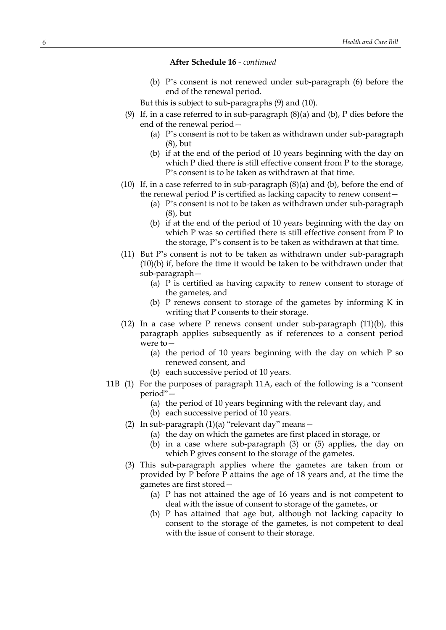(b) P's consent is not renewed under sub-paragraph (6) before the end of the renewal period.

But this is subject to sub-paragraphs (9) and (10).

- (9) If, in a case referred to in sub-paragraph (8)(a) and (b), P dies before the end of the renewal period—
	- (a) P's consent is not to be taken as withdrawn under sub-paragraph (8), but
	- (b) if at the end of the period of 10 years beginning with the day on which P died there is still effective consent from P to the storage, P's consent is to be taken as withdrawn at that time.
- (10) If, in a case referred to in sub-paragraph (8)(a) and (b), before the end of the renewal period P is certified as lacking capacity to renew consent—
	- (a) P's consent is not to be taken as withdrawn under sub-paragraph (8), but
	- (b) if at the end of the period of 10 years beginning with the day on which P was so certified there is still effective consent from P to the storage, P's consent is to be taken as withdrawn at that time.
- (11) But P's consent is not to be taken as withdrawn under sub-paragraph (10)(b) if, before the time it would be taken to be withdrawn under that sub-paragraph—
	- (a) P is certified as having capacity to renew consent to storage of the gametes, and
	- (b) P renews consent to storage of the gametes by informing K in writing that P consents to their storage.
- (12) In a case where P renews consent under sub-paragraph (11)(b), this paragraph applies subsequently as if references to a consent period were to—
	- (a) the period of 10 years beginning with the day on which P so renewed consent, and
	- (b) each successive period of 10 years.
- 11B (1) For the purposes of paragraph 11A, each of the following is a "consent period"—
	- (a) the period of 10 years beginning with the relevant day, and
	- (b) each successive period of 10 years.
	- (2) In sub-paragraph  $(1)(a)$  "relevant day" means -
		- (a) the day on which the gametes are first placed in storage, or
		- (b) in a case where sub-paragraph (3) or (5) applies, the day on which P gives consent to the storage of the gametes.
	- (3) This sub-paragraph applies where the gametes are taken from or provided by P before P attains the age of 18 years and, at the time the gametes are first stored—
		- (a) P has not attained the age of 16 years and is not competent to deal with the issue of consent to storage of the gametes, or
		- (b) P has attained that age but, although not lacking capacity to consent to the storage of the gametes, is not competent to deal with the issue of consent to their storage.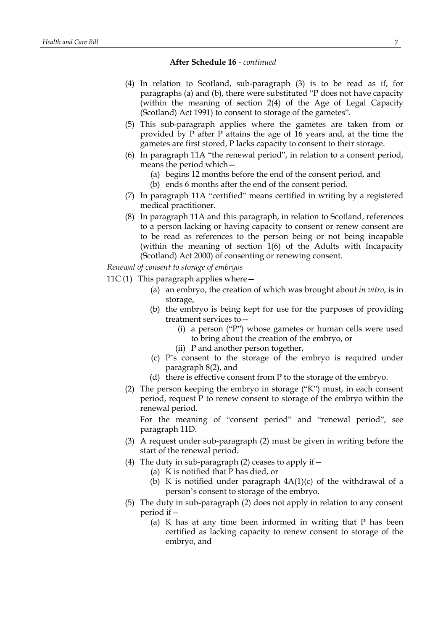- (4) In relation to Scotland, sub-paragraph (3) is to be read as if, for paragraphs (a) and (b), there were substituted "P does not have capacity (within the meaning of section 2(4) of the Age of Legal Capacity (Scotland) Act 1991) to consent to storage of the gametes".
- (5) This sub-paragraph applies where the gametes are taken from or provided by P after P attains the age of 16 years and, at the time the gametes are first stored, P lacks capacity to consent to their storage.
- (6) In paragraph 11A "the renewal period", in relation to a consent period, means the period which—
	- (a) begins 12 months before the end of the consent period, and
	- (b) ends 6 months after the end of the consent period.
- (7) In paragraph 11A "certified" means certified in writing by a registered medical practitioner.
- (8) In paragraph 11A and this paragraph, in relation to Scotland, references to a person lacking or having capacity to consent or renew consent are to be read as references to the person being or not being incapable (within the meaning of section 1(6) of the Adults with Incapacity (Scotland) Act 2000) of consenting or renewing consent.

*Renewal of consent to storage of embryos*

- 11C(1) This paragraph applies where  $-$ 
	- (a) an embryo, the creation of which was brought about *in vitro*, is in storage,
	- (b) the embryo is being kept for use for the purposes of providing treatment services to—
		- (i) a person ("P") whose gametes or human cells were used to bring about the creation of the embryo, or
		- (ii) P and another person together,
	- (c) P's consent to the storage of the embryo is required under paragraph 8(2), and
	- (d) there is effective consent from P to the storage of the embryo.
	- (2) The person keeping the embryo in storage ("K") must, in each consent period, request P to renew consent to storage of the embryo within the renewal period.

For the meaning of "consent period" and "renewal period", see paragraph 11D.

- (3) A request under sub-paragraph (2) must be given in writing before the start of the renewal period.
- (4) The duty in sub-paragraph (2) ceases to apply if  $-$ 
	- (a) K is notified that P has died, or
	- (b) K is notified under paragraph  $4A(1)(c)$  of the withdrawal of a person's consent to storage of the embryo.
- (5) The duty in sub-paragraph (2) does not apply in relation to any consent period if—
	- (a) K has at any time been informed in writing that P has been certified as lacking capacity to renew consent to storage of the embryo, and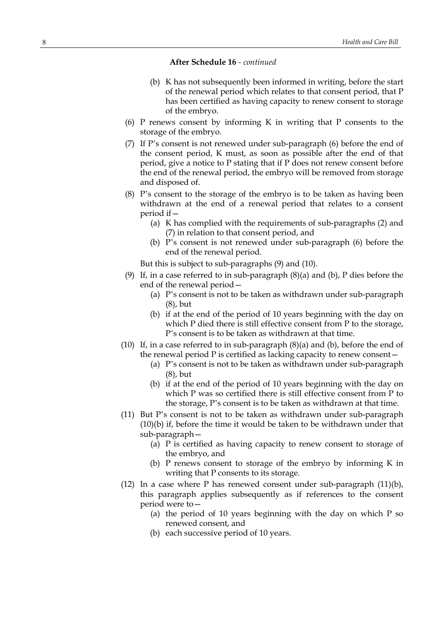- (b) K has not subsequently been informed in writing, before the start of the renewal period which relates to that consent period, that P has been certified as having capacity to renew consent to storage of the embryo.
- (6) P renews consent by informing K in writing that P consents to the storage of the embryo.
- (7) If P's consent is not renewed under sub-paragraph (6) before the end of the consent period, K must, as soon as possible after the end of that period, give a notice to P stating that if P does not renew consent before the end of the renewal period, the embryo will be removed from storage and disposed of.
- (8) P's consent to the storage of the embryo is to be taken as having been withdrawn at the end of a renewal period that relates to a consent period if—
	- (a) K has complied with the requirements of sub-paragraphs (2) and (7) in relation to that consent period, and
	- (b) P's consent is not renewed under sub-paragraph (6) before the end of the renewal period.

But this is subject to sub-paragraphs (9) and (10).

- (9) If, in a case referred to in sub-paragraph (8)(a) and (b), P dies before the end of the renewal period—
	- (a) P's consent is not to be taken as withdrawn under sub-paragraph (8), but
	- (b) if at the end of the period of 10 years beginning with the day on which P died there is still effective consent from P to the storage, P's consent is to be taken as withdrawn at that time.
- (10) If, in a case referred to in sub-paragraph (8)(a) and (b), before the end of the renewal period P is certified as lacking capacity to renew consent—
	- (a) P's consent is not to be taken as withdrawn under sub-paragraph (8), but
	- (b) if at the end of the period of 10 years beginning with the day on which P was so certified there is still effective consent from P to the storage, P's consent is to be taken as withdrawn at that time.
- (11) But P's consent is not to be taken as withdrawn under sub-paragraph (10)(b) if, before the time it would be taken to be withdrawn under that sub-paragraph—
	- (a) P is certified as having capacity to renew consent to storage of the embryo, and
	- (b) P renews consent to storage of the embryo by informing K in writing that P consents to its storage.
- (12) In a case where P has renewed consent under sub-paragraph (11)(b), this paragraph applies subsequently as if references to the consent period were to—
	- (a) the period of 10 years beginning with the day on which P so renewed consent, and
	- (b) each successive period of 10 years.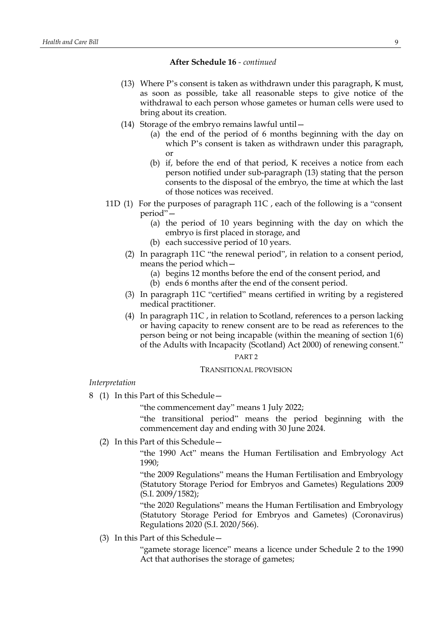- (13) Where P's consent is taken as withdrawn under this paragraph, K must, as soon as possible, take all reasonable steps to give notice of the withdrawal to each person whose gametes or human cells were used to bring about its creation.
- (14) Storage of the embryo remains lawful until—
	- (a) the end of the period of 6 months beginning with the day on which P's consent is taken as withdrawn under this paragraph, or
	- (b) if, before the end of that period, K receives a notice from each person notified under sub-paragraph (13) stating that the person consents to the disposal of the embryo, the time at which the last of those notices was received.
- 11D (1) For the purposes of paragraph 11C , each of the following is a "consent period"—
	- (a) the period of 10 years beginning with the day on which the embryo is first placed in storage, and
	- (b) each successive period of 10 years.
	- (2) In paragraph 11C "the renewal period", in relation to a consent period, means the period which—
		- (a) begins 12 months before the end of the consent period, and
		- (b) ends 6 months after the end of the consent period.
	- (3) In paragraph 11C "certified" means certified in writing by a registered medical practitioner.
	- (4) In paragraph 11C , in relation to Scotland, references to a person lacking or having capacity to renew consent are to be read as references to the person being or not being incapable (within the meaning of section 1(6) of the Adults with Incapacity (Scotland) Act 2000) of renewing consent."

## PART 2

#### TRANSITIONAL PROVISION

*Interpretation*

8 (1) In this Part of this Schedule—

"the commencement day" means 1 July 2022;

"the transitional period" means the period beginning with the commencement day and ending with 30 June 2024.

(2) In this Part of this Schedule—

"the 1990 Act" means the Human Fertilisation and Embryology Act 1990;

"the 2009 Regulations" means the Human Fertilisation and Embryology (Statutory Storage Period for Embryos and Gametes) Regulations 2009 (S.I. 2009/1582);

"the 2020 Regulations" means the Human Fertilisation and Embryology (Statutory Storage Period for Embryos and Gametes) (Coronavirus) Regulations 2020 (S.I. 2020/566).

(3) In this Part of this Schedule—

"gamete storage licence" means a licence under Schedule 2 to the 1990 Act that authorises the storage of gametes;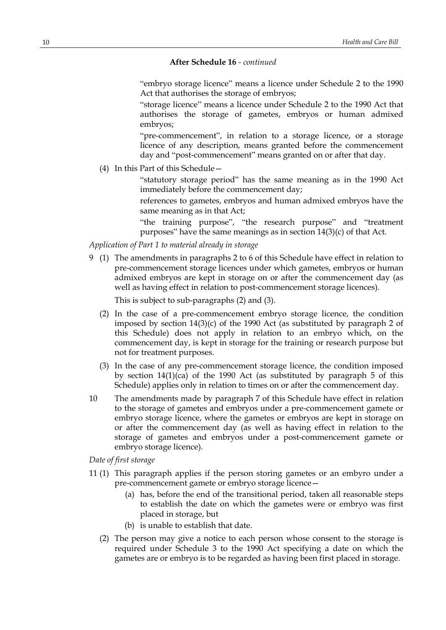"embryo storage licence" means a licence under Schedule 2 to the 1990 Act that authorises the storage of embryos;

"storage licence" means a licence under Schedule 2 to the 1990 Act that authorises the storage of gametes, embryos or human admixed embryos;

"pre-commencement", in relation to a storage licence, or a storage licence of any description, means granted before the commencement day and "post-commencement" means granted on or after that day.

(4) In this Part of this Schedule—

"statutory storage period" has the same meaning as in the 1990 Act immediately before the commencement day;

references to gametes, embryos and human admixed embryos have the same meaning as in that Act;

"the training purpose", "the research purpose" and "treatment purposes" have the same meanings as in section 14(3)(c) of that Act.

#### *Application of Part 1 to material already in storage*

9 (1) The amendments in paragraphs 2 to 6 of this Schedule have effect in relation to pre-commencement storage licences under which gametes, embryos or human admixed embryos are kept in storage on or after the commencement day (as well as having effect in relation to post-commencement storage licences).

This is subject to sub-paragraphs (2) and (3).

- (2) In the case of a pre-commencement embryo storage licence, the condition imposed by section 14(3)(c) of the 1990 Act (as substituted by paragraph 2 of this Schedule) does not apply in relation to an embryo which, on the commencement day, is kept in storage for the training or research purpose but not for treatment purposes.
- (3) In the case of any pre-commencement storage licence, the condition imposed by section  $14(1)(ca)$  of the 1990 Act (as substituted by paragraph 5 of this Schedule) applies only in relation to times on or after the commencement day.
- 10 The amendments made by paragraph 7 of this Schedule have effect in relation to the storage of gametes and embryos under a pre-commencement gamete or embryo storage licence, where the gametes or embryos are kept in storage on or after the commencement day (as well as having effect in relation to the storage of gametes and embryos under a post-commencement gamete or embryo storage licence).

*Date of first storage*

- 11 (1) This paragraph applies if the person storing gametes or an embyro under a pre-commencement gamete or embryo storage licence—
	- (a) has, before the end of the transitional period, taken all reasonable steps to establish the date on which the gametes were or embryo was first placed in storage, but
	- (b) is unable to establish that date.
	- (2) The person may give a notice to each person whose consent to the storage is required under Schedule 3 to the 1990 Act specifying a date on which the gametes are or embryo is to be regarded as having been first placed in storage.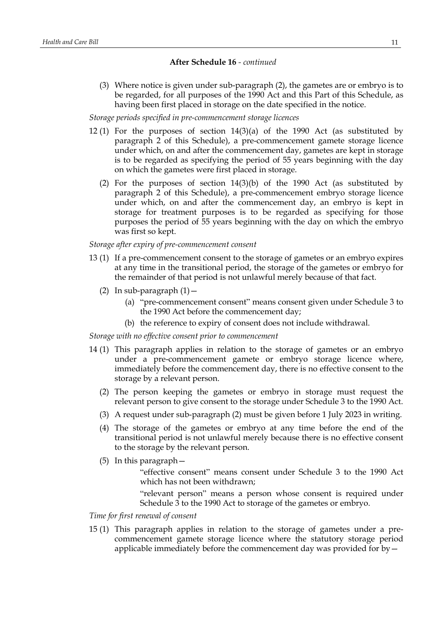(3) Where notice is given under sub-paragraph (2), the gametes are or embryo is to be regarded, for all purposes of the 1990 Act and this Part of this Schedule, as having been first placed in storage on the date specified in the notice.

# *Storage periods specified in pre-commencement storage licences*

- 12 (1) For the purposes of section 14(3)(a) of the 1990 Act (as substituted by paragraph 2 of this Schedule), a pre-commencement gamete storage licence under which, on and after the commencement day, gametes are kept in storage is to be regarded as specifying the period of 55 years beginning with the day on which the gametes were first placed in storage.
	- (2) For the purposes of section 14(3)(b) of the 1990 Act (as substituted by paragraph 2 of this Schedule), a pre-commencement embryo storage licence under which, on and after the commencement day, an embryo is kept in storage for treatment purposes is to be regarded as specifying for those purposes the period of 55 years beginning with the day on which the embryo was first so kept.

#### *Storage after expiry of pre-commencement consent*

- 13 (1) If a pre-commencement consent to the storage of gametes or an embryo expires at any time in the transitional period, the storage of the gametes or embryo for the remainder of that period is not unlawful merely because of that fact.
	- (2) In sub-paragraph  $(1)$  -
		- (a) "pre-commencement consent" means consent given under Schedule 3 to the 1990 Act before the commencement day;
		- (b) the reference to expiry of consent does not include withdrawal.

### *Storage with no effective consent prior to commencement*

- 14 (1) This paragraph applies in relation to the storage of gametes or an embryo under a pre-commencement gamete or embryo storage licence where, immediately before the commencement day, there is no effective consent to the storage by a relevant person.
	- (2) The person keeping the gametes or embryo in storage must request the relevant person to give consent to the storage under Schedule 3 to the 1990 Act.
	- (3) A request under sub-paragraph (2) must be given before 1 July 2023 in writing.
	- (4) The storage of the gametes or embryo at any time before the end of the transitional period is not unlawful merely because there is no effective consent to the storage by the relevant person.
	- (5) In this paragraph—
		- "effective consent" means consent under Schedule 3 to the 1990 Act which has not been withdrawn;

"relevant person" means a person whose consent is required under Schedule 3 to the 1990 Act to storage of the gametes or embryo.

## *Time for first renewal of consent*

15 (1) This paragraph applies in relation to the storage of gametes under a precommencement gamete storage licence where the statutory storage period applicable immediately before the commencement day was provided for by—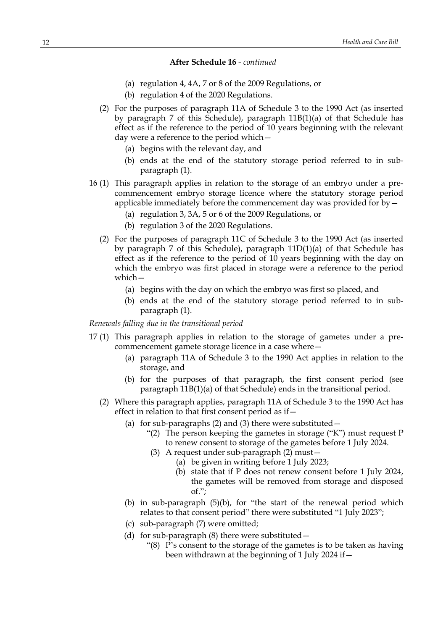- (a) regulation 4, 4A, 7 or 8 of the 2009 Regulations, or
- (b) regulation 4 of the 2020 Regulations.
- (2) For the purposes of paragraph 11A of Schedule 3 to the 1990 Act (as inserted by paragraph 7 of this Schedule), paragraph 11B(1)(a) of that Schedule has effect as if the reference to the period of 10 years beginning with the relevant day were a reference to the period which—
	- (a) begins with the relevant day, and
	- (b) ends at the end of the statutory storage period referred to in subparagraph (1).
- 16 (1) This paragraph applies in relation to the storage of an embryo under a precommencement embryo storage licence where the statutory storage period applicable immediately before the commencement day was provided for by—
	- (a) regulation 3, 3A, 5 or 6 of the 2009 Regulations, or
	- (b) regulation 3 of the 2020 Regulations.
	- (2) For the purposes of paragraph 11C of Schedule 3 to the 1990 Act (as inserted by paragraph 7 of this Schedule), paragraph 11D(1)(a) of that Schedule has effect as if the reference to the period of 10 years beginning with the day on which the embryo was first placed in storage were a reference to the period which—
		- (a) begins with the day on which the embryo was first so placed, and
		- (b) ends at the end of the statutory storage period referred to in subparagraph (1).

#### *Renewals falling due in the transitional period*

- 17 (1) This paragraph applies in relation to the storage of gametes under a precommencement gamete storage licence in a case where—
	- (a) paragraph 11A of Schedule 3 to the 1990 Act applies in relation to the storage, and
	- (b) for the purposes of that paragraph, the first consent period (see paragraph 11B(1)(a) of that Schedule) ends in the transitional period.
	- (2) Where this paragraph applies, paragraph 11A of Schedule 3 to the 1990 Act has effect in relation to that first consent period as if—
		- (a) for sub-paragraphs  $(2)$  and  $(3)$  there were substituted
			- "(2) The person keeping the gametes in storage ("K") must request P to renew consent to storage of the gametes before 1 July 2024.
			- (3) A request under sub-paragraph (2) must—
				- (a) be given in writing before 1 July 2023;
				- (b) state that if P does not renew consent before 1 July 2024, the gametes will be removed from storage and disposed of.";
		- (b) in sub-paragraph (5)(b), for "the start of the renewal period which relates to that consent period" there were substituted "1 July 2023";
		- (c) sub-paragraph (7) were omitted;
		- (d) for sub-paragraph  $(8)$  there were substituted  $-$ 
			- " $(8)$  P's consent to the storage of the gametes is to be taken as having been withdrawn at the beginning of 1 July 2024 if—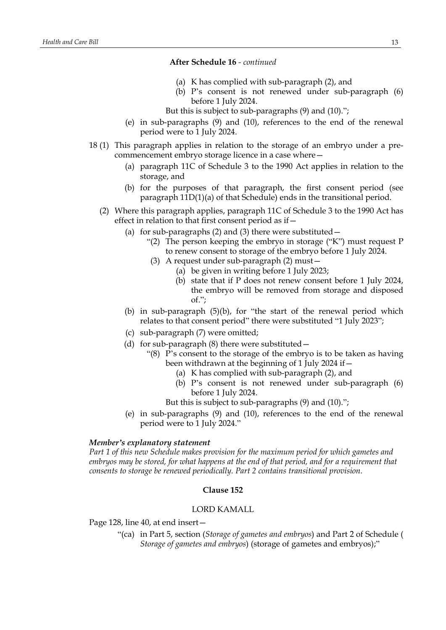- (a) K has complied with sub-paragraph (2), and
- (b) P's consent is not renewed under sub-paragraph (6) before 1 July 2024.

But this is subject to sub-paragraphs (9) and (10).";

- (e) in sub-paragraphs (9) and (10), references to the end of the renewal period were to 1 July 2024.
- 18 (1) This paragraph applies in relation to the storage of an embryo under a precommencement embryo storage licence in a case where—
	- (a) paragraph 11C of Schedule 3 to the 1990 Act applies in relation to the storage, and
	- (b) for the purposes of that paragraph, the first consent period (see paragraph 11D(1)(a) of that Schedule) ends in the transitional period.
	- (2) Where this paragraph applies, paragraph 11C of Schedule 3 to the 1990 Act has effect in relation to that first consent period as if—
		- (a) for sub-paragraphs (2) and (3) there were substituted—
			- "(2) The person keeping the embryo in storage ("K") must request P to renew consent to storage of the embryo before 1 July 2024.
			- (3) A request under sub-paragraph (2) must—
				- (a) be given in writing before 1 July 2023;
				- (b) state that if P does not renew consent before 1 July 2024, the embryo will be removed from storage and disposed  $of.$ ":
		- (b) in sub-paragraph (5)(b), for "the start of the renewal period which relates to that consent period" there were substituted "1 July 2023";
		- (c) sub-paragraph (7) were omitted;
		- (d) for sub-paragraph (8) there were substituted—
			- "(8) P's consent to the storage of the embryo is to be taken as having been withdrawn at the beginning of 1 July 2024 if—
				- (a) K has complied with sub-paragraph (2), and
				- (b) P's consent is not renewed under sub-paragraph (6) before 1 July 2024.
				- But this is subject to sub-paragraphs (9) and (10).";
		- (e) in sub-paragraphs (9) and (10), references to the end of the renewal period were to 1 July 2024."

#### *Member's explanatory statement*

*Part 1 of this new Schedule makes provision for the maximum period for which gametes and embryos may be stored, for what happens at the end of that period, and for a requirement that consents to storage be renewed periodically. Part 2 contains transitional provision.*

## **Clause 152**

#### LORD KAMALL

Page 128, line 40, at end insert—

"(ca) in Part 5, section (*Storage of gametes and embryos*) and Part 2 of Schedule ( *Storage of gametes and embryos*) (storage of gametes and embryos);"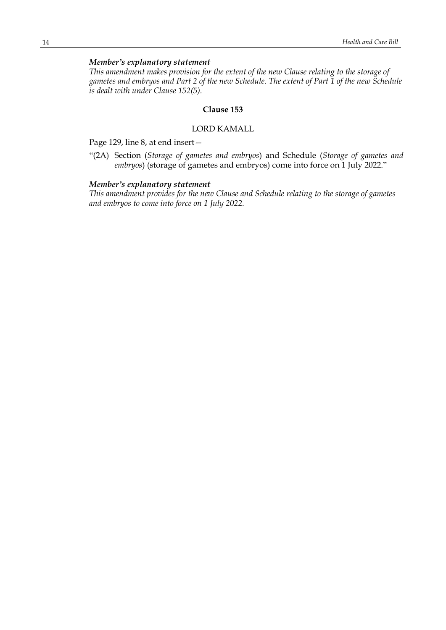# *Member's explanatory statement*

*This amendment makes provision for the extent of the new Clause relating to the storage of* gametes and embryos and Part 2 of the new Schedule. The extent of Part 1 of the new Schedule *is dealt with under Clause 152(5).*

#### **Clause 153**

# LORD KAMALL

Page 129, line 8, at end insert—

"(2A) Section (*Storage of gametes and embryos*) and Schedule (*Storage of gametes and embryos*) (storage of gametes and embryos) come into force on 1 July 2022."

## *Member's explanatory statement*

*This amendment provides for the new Clause and Schedule relating to the storage of gametes and embryos to come into force on 1 July 2022.*